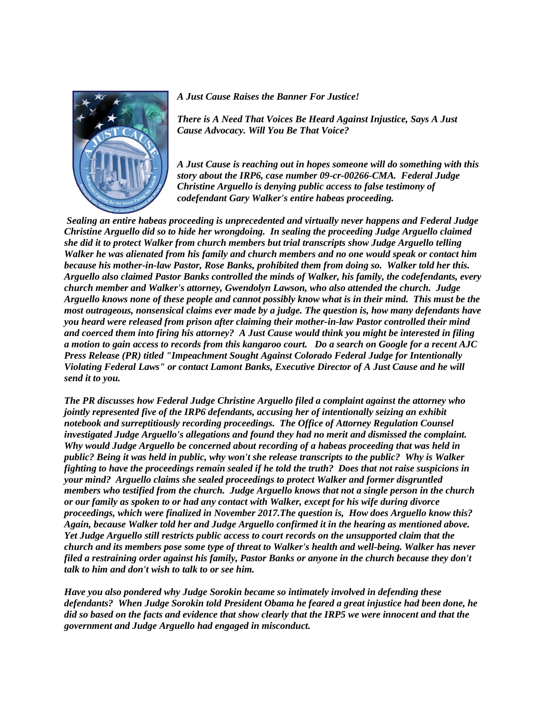

*A Just Cause Raises the Banner For Justice!* 

*There is A Need That Voices Be Heard Against Injustice, Says A Just Cause Advocacy. Will You Be That Voice?*

*A Just Cause is reaching out in hopes someone will do something with this story about the IRP6, case number 09-cr-00266-CMA. Federal Judge Christine Arguello is denying public access to false testimony of codefendant Gary Walker's entire habeas proceeding.* 

*Sealing an entire habeas proceeding is unprecedented and virtually never happens and Federal Judge Christine Arguello did so to hide her wrongdoing. In sealing the proceeding Judge Arguello claimed she did it to protect Walker from church members but trial transcripts show Judge Arguello telling Walker he was alienated from his family and church members and no one would speak or contact him because his mother-in-law Pastor, Rose Banks, prohibited them from doing so. Walker told her this. Arguello also claimed Pastor Banks controlled the minds of Walker, his family, the codefendants, every church member and Walker's attorney, Gwendolyn Lawson, who also attended the church. Judge Arguello knows none of these people and cannot possibly know what is in their mind. This must be the most outrageous, nonsensical claims ever made by a judge. The question is, how many defendants have you heard were released from prison after claiming their mother-in-law Pastor controlled their mind and coerced them into firing his attorney? A Just Cause would think you might be interested in filing a motion to gain access to records from this kangaroo court. Do a search on Google for a recent AJC Press Release (PR) titled "Impeachment Sought Against Colorado Federal Judge for Intentionally Violating Federal Laws" or contact Lamont Banks, Executive Director of A Just Cause and he will send it to you.* 

*The PR discusses how Federal Judge Christine Arguello filed a complaint against the attorney who jointly represented five of the IRP6 defendants, accusing her of intentionally seizing an exhibit notebook and surreptitiously recording proceedings. The Office of Attorney Regulation Counsel investigated Judge Arguello's allegations and found they had no merit and dismissed the complaint. Why would Judge Arguello be concerned about recording of a habeas proceeding that was held in public? Being it was held in public, why won't she release transcripts to the public? Why is Walker fighting to have the proceedings remain sealed if he told the truth? Does that not raise suspicions in your mind? Arguello claims she sealed proceedings to protect Walker and former disgruntled members who testified from the church. Judge Arguello knows that not a single person in the church or our family as spoken to or had any contact with Walker, except for his wife during divorce proceedings, which were finalized in November 2017.The question is, How does Arguello know this? Again, because Walker told her and Judge Arguello confirmed it in the hearing as mentioned above. Yet Judge Arguello still restricts public access to court records on the unsupported claim that the church and its members pose some type of threat to Walker's health and well-being. Walker has never filed a restraining order against his family, Pastor Banks or anyone in the church because they don't talk to him and don't wish to talk to or see him.*

*Have you also pondered why Judge Sorokin became so intimately involved in defending these defendants? When Judge Sorokin told President Obama he feared a great injustice had been done, he did so based on the facts and evidence that show clearly that the IRP5 we were innocent and that the government and Judge Arguello had engaged in misconduct.*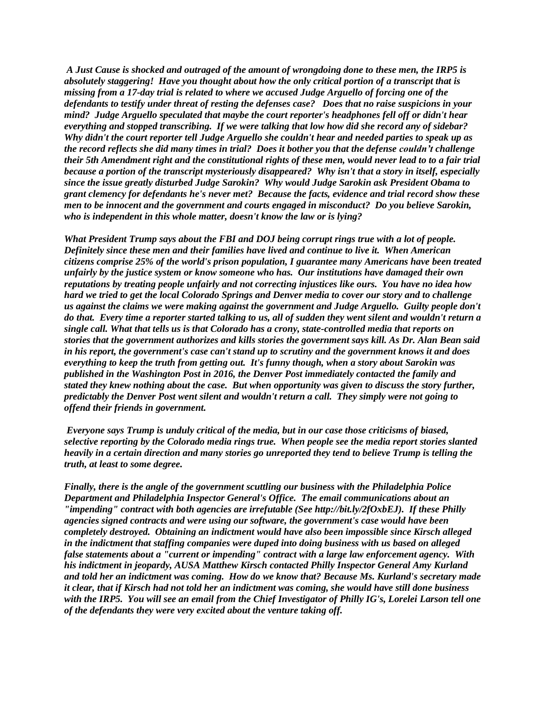*A Just Cause is shocked and outraged of the amount of wrongdoing done to these men, the IRP5 is absolutely staggering! Have you thought about how the only critical portion of a transcript that is missing from a 17-day trial is related to where we accused Judge Arguello of forcing one of the defendants to testify under threat of resting the defenses case? Does that no raise suspicions in your mind? Judge Arguello speculated that maybe the court reporter's headphones fell off or didn't hear everything and stopped transcribing. If we were talking that low how did she record any of sidebar? Why didn't the court reporter tell Judge Arguello she couldn't hear and needed parties to speak up as the record reflects she did many times in trial? Does it bother you that the defense couldn't challenge their 5th Amendment right and the constitutional rights of these men, would never lead to to a fair trial because a portion of the transcript mysteriously disappeared? Why isn't that a story in itself, especially since the issue greatly disturbed Judge Sarokin? Why would Judge Sarokin ask President Obama to grant clemency for defendants he's never met? Because the facts, evidence and trial record show these men to be innocent and the government and courts engaged in misconduct? Do you believe Sarokin, who is independent in this whole matter, doesn't know the law or is lying?*

*What President Trump says about the FBI and DOJ being corrupt rings true with a lot of people. Definitely since these men and their families have lived and continue to live it. When American citizens comprise 25% of the world's prison population, I guarantee many Americans have been treated unfairly by the justice system or know someone who has. Our institutions have damaged their own reputations by treating people unfairly and not correcting injustices like ours. You have no idea how hard we tried to get the local Colorado Springs and Denver media to cover our story and to challenge us against the claims we were making against the government and Judge Arguello. Guilty people don't do that. Every time a reporter started talking to us, all of sudden they went silent and wouldn't return a single call. What that tells us is that Colorado has a crony, state-controlled media that reports on stories that the government authorizes and kills stories the government says kill. As Dr. Alan Bean said in his report, the government's case can't stand up to scrutiny and the government knows it and does everything to keep the truth from getting out. It's funny though, when a story about Sarokin was published in the Washington Post in 2016, the Denver Post immediately contacted the family and stated they knew nothing about the case. But when opportunity was given to discuss the story further, predictably the Denver Post went silent and wouldn't return a call. They simply were not going to offend their friends in government.*

*Everyone says Trump is unduly critical of the media, but in our case those criticisms of biased, selective reporting by the Colorado media rings true. When people see the media report stories slanted heavily in a certain direction and many stories go unreported they tend to believe Trump is telling the truth, at least to some degree.*

*Finally, there is the angle of the government scuttling our business with the Philadelphia Police Department and Philadelphia Inspector General's Office. The email communications about an "impending" contract with both agencies are irrefutable (See http://bit.ly/2fOxbEJ). If these Philly agencies signed contracts and were using our software, the government's case would have been completely destroyed. Obtaining an indictment would have also been impossible since Kirsch alleged in the indictment that staffing companies were duped into doing business with us based on alleged false statements about a "current or impending" contract with a large law enforcement agency. With his indictment in jeopardy, AUSA Matthew Kirsch contacted Philly Inspector General Amy Kurland and told her an indictment was coming. How do we know that? Because Ms. Kurland's secretary made it clear, that if Kirsch had not told her an indictment was coming, she would have still done business with the IRP5. You will see an email from the Chief Investigator of Philly IG's, Lorelei Larson tell one of the defendants they were very excited about the venture taking off.*